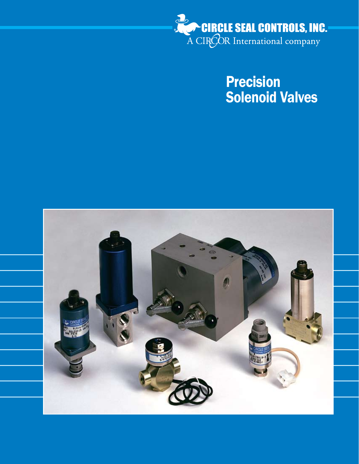

Precision Solenoid Valves

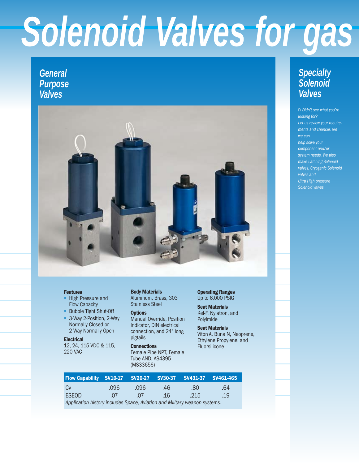## Solenoid Valves for gas

## *General Purpose Valves*



#### Features

- High Pressure and Flow Capacity ł
- **Bubble Tight Shut-Off**
- 3-Way 2-Position, 2-Way Normally Closed or 2-Way Normally Open

#### **Electrical**

12, 24, 115 VDC & 115, 220 VAC

Body Materials Aluminum, Brass, 303 Stainless Steel

#### **Options**

Manual Override, Position Indicator, DIN electrical connection, and 24" long pigtails

**Connections** Female Pipe NPT, Female Tube AND, AS4395 (MS33656)

Operating Ranges Up to 6,000 PSIG

Seat Materials Kel-F, Nylatron, and Polyimide

Seat Materials Viton A, Buna N, Neoprene, Ethylene Propylene, and Fluorsilicone

### *Specialty Solenoid Valves*

n *Didn't see what you're looking for? Let us review your requirements and chances are we can help solve your component and/or system needs. We also make Latching Solenoid valves, Cryogenic Solenoid Ultra High pressure Solenoid valves.*

| Flow Capability SV10-17 SV20-27 SV30-37 SV431-37 SV461-465                |      |      |     |      |     |
|---------------------------------------------------------------------------|------|------|-----|------|-----|
| C <sub>V</sub>                                                            | .096 | .096 | .46 | .80  | .64 |
| ESEOD                                                                     | .07  | -07  | .16 | .215 | .19 |
| Application history includes Space, Aviation and Military weapon systems. |      |      |     |      |     |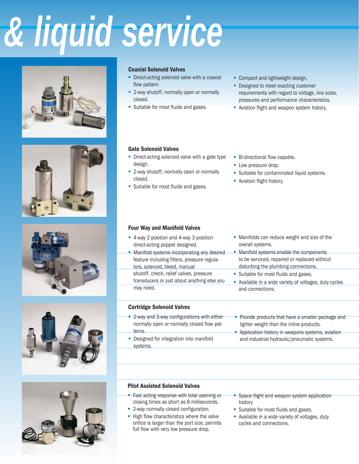# *Solenoid Valves for gas & liquid service*











#### Coaxial Solenoid Valves

- **Direct-acting solenoid valve with a coaxial** flow pattern
- 2-way shutoff, normally open or normally closed.
- **Suitable for most fluids and gases.**
- **Compact and lightweight design.**
- **-** Designed to meet exacting customer requirements with regard to voltage, line sizes, pressures and performance characteristics.
- **Aviation flight and weapon system history.**

#### Gate Solenoid Valves

- **Direct-acting solenoid valve with a gate type** design.
- 2-way shutoff, normally open or normally closed.
- **Suitable for most fluids and gases.**
- **Bi-directional flow capable.**
- **Low pressure drop.**
- **Suitable for contaminated liquid systems.**
- **Aviation flight history.**

#### Four Way and Manifold Valves

- 4-way 2 position and 4-way 3 position direct-acting poppet designed.
- **Manifold systems incorporating any desired** feature including filters, pressure regulators, solenoid, bleed, manual shutoff, check, relief valves, pressure transducers or just about anything else you may need.
- **Manifolds can reduce weight and size of the** overall systems.
- **Manifold systems enable the components** to be serviced, repaired or replaced without disturbing the plumbing connections.
- **Suitable for most fluids and gases.**
- Available in a wide variety of voltages, duty cycles and connections.

#### Cartridge Solenoid Valves

- 2-way and 3-way configurations with either normally open or normally closed flow patterns.
- **-** Designed for integration into manifold systems.
- **Provide products that have a smaller package and** lighter weight than the inline products.
- **-** Application history in weapons systems, aviation and industrial hydraulic/pneumatic systems.

#### Pilot Assisted Solenoid Valves

- **Fast acting response with total opening or** closing times as short as 8 milliseconds.
- **2-way normally closed configuration.**
- High flow characteristics where the valve orifice is larger than the port size, permits full flow with very low pressure drop.
- **Space flight and weapon system application** history
- **Suitable for most fluids and gases.**
- **Available in a wide variety of voltages, duty** cycles and connections.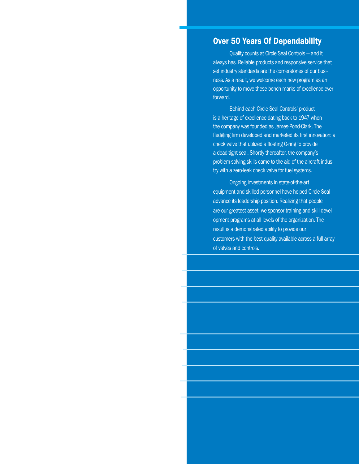### Over 50 Years Of Dependability

Quality counts at Circle Seal Controls — and it always has. Reliable products and responsive service that set industry standards are the cornerstones of our business. As a result, we welcome each new program as an opportunity to move these bench marks of excellence ever forward.

Behind each Circle Seal Controls' product is a heritage of excellence dating back to 1947 when the company was founded as James-Pond-Clark. The fledgling firm developed and marketed its first innovation: a check valve that utilized a floating O-ring to provide a dead-tight seal. Shortly thereafter, the company's problem-solving skills came to the aid of the aircraft industry with a zero-leak check valve for fuel systems.

Ongoing investments in state-of-the-art equipment and skilled personnel have helped Circle Seal advance its leadership position. Realizing that people are our greatest asset, we sponsor training and skill development programs at all levels of the organization. The result is a demonstrated ability to provide our customers with the best quality available across a full array of valves and controls.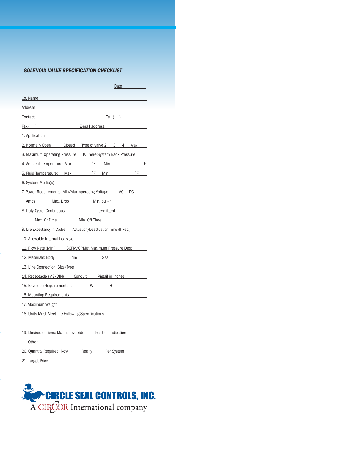#### *SOLENOID VALVE SPECIFICATION CHECKLIST*

| Date http://www.                                                                                                                                                                                                               |  |  |  |  |  |
|--------------------------------------------------------------------------------------------------------------------------------------------------------------------------------------------------------------------------------|--|--|--|--|--|
| Co. Name                                                                                                                                                                                                                       |  |  |  |  |  |
| Address <b>Address Address</b>                                                                                                                                                                                                 |  |  |  |  |  |
| Contact Tel. ( )                                                                                                                                                                                                               |  |  |  |  |  |
| Fax () E-mail address                                                                                                                                                                                                          |  |  |  |  |  |
| 1. Application                                                                                                                                                                                                                 |  |  |  |  |  |
| 2. Normally Open Closed Type of valve 2 3 4 way                                                                                                                                                                                |  |  |  |  |  |
| 3. Maximum Operating Pressure Is There System Back Pressure                                                                                                                                                                    |  |  |  |  |  |
| 4. Ambient Temperature: Max F Min <sup>2</sup> F Min <sub>2</sub>                                                                                                                                                              |  |  |  |  |  |
| 5. Fluid Temperature: Max <sup> *</sup> <b>F</b> Min <sup>*</sup> <b>F</b>                                                                                                                                                     |  |  |  |  |  |
| 6. System Media(s) and the system of the system of the system of the system of the system of the system of the system of the system of the system of the system of the system of the system of the system of the system of the |  |  |  |  |  |
| 7. Power Requirements: Min/Max operating Voltage AC DC                                                                                                                                                                         |  |  |  |  |  |
| Amps Max. Drop Min. pull-in                                                                                                                                                                                                    |  |  |  |  |  |
| 8. Duty Cycle: Continuous Manuel Mermittent                                                                                                                                                                                    |  |  |  |  |  |
| Max. On Time Min. Off Time                                                                                                                                                                                                     |  |  |  |  |  |
| 9. Life Expectancy In Cycles Actuation/Deactuation Time (If Req.)                                                                                                                                                              |  |  |  |  |  |
| 10. Allowable Internal Leakage and the control of the control of the control of the control of the control of                                                                                                                  |  |  |  |  |  |
| 11. Flow Rate (Min.) SCFM/GPMat Maximum Pressure Drop                                                                                                                                                                          |  |  |  |  |  |
| 12. Materials: Body Trim Seal                                                                                                                                                                                                  |  |  |  |  |  |
| 13. Line Connection: Size/Type                                                                                                                                                                                                 |  |  |  |  |  |
| 14. Receptacle (MS/DIN) Conduit Pigtail in Inches                                                                                                                                                                              |  |  |  |  |  |
| 15. Envelope Requirements L W H H                                                                                                                                                                                              |  |  |  |  |  |
| 16. Mounting Requirements <b>Container and Container and Container</b> and Container                                                                                                                                           |  |  |  |  |  |
| 17. Maximum Weight <b>Example 2018</b>                                                                                                                                                                                         |  |  |  |  |  |
| 18. Units Must Meet the Following Specifications                                                                                                                                                                               |  |  |  |  |  |
|                                                                                                                                                                                                                                |  |  |  |  |  |
| 19. Desired options: Manual override Position indication                                                                                                                                                                       |  |  |  |  |  |
|                                                                                                                                                                                                                                |  |  |  |  |  |
| 20. Quantity Required: Now Yearly Per System                                                                                                                                                                                   |  |  |  |  |  |
| 21. Target Price                                                                                                                                                                                                               |  |  |  |  |  |